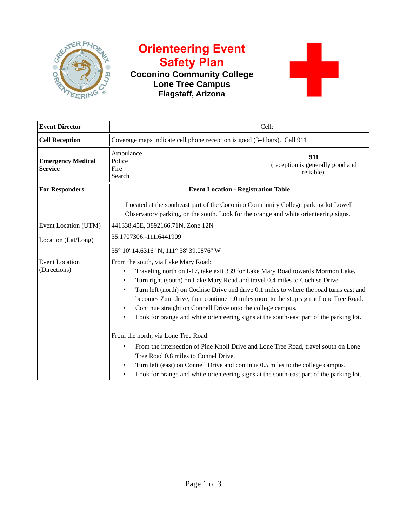

## **Orienteering Event Safety Plan**

**Coconino Community College Lone Tree Campus Flagstaff, Arizona**



| <b>Event Director</b>                      |                                                                                                                                                                                                                                                                                                                                                                                                                                                                                                                                                   | Cell:                                                |  |
|--------------------------------------------|---------------------------------------------------------------------------------------------------------------------------------------------------------------------------------------------------------------------------------------------------------------------------------------------------------------------------------------------------------------------------------------------------------------------------------------------------------------------------------------------------------------------------------------------------|------------------------------------------------------|--|
| <b>Cell Reception</b>                      | Coverage maps indicate cell phone reception is good (3-4 bars). Call 911                                                                                                                                                                                                                                                                                                                                                                                                                                                                          |                                                      |  |
| <b>Emergency Medical</b><br><b>Service</b> | Ambulance<br>Police<br>Fire<br>Search                                                                                                                                                                                                                                                                                                                                                                                                                                                                                                             | 911<br>(reception is generally good and<br>reliable) |  |
| <b>For Responders</b>                      | <b>Event Location - Registration Table</b>                                                                                                                                                                                                                                                                                                                                                                                                                                                                                                        |                                                      |  |
|                                            | Located at the southeast part of the Coconino Community College parking lot Lowell<br>Observatory parking, on the south. Look for the orange and white orienteering signs.                                                                                                                                                                                                                                                                                                                                                                        |                                                      |  |
| Event Location (UTM)                       | 441338.45E, 3892166.71N, Zone 12N                                                                                                                                                                                                                                                                                                                                                                                                                                                                                                                 |                                                      |  |
| Location (Lat/Long)                        | 35.1707306,-111.6441909<br>35° 10' 14.6316" N, 111° 38' 39.0876" W                                                                                                                                                                                                                                                                                                                                                                                                                                                                                |                                                      |  |
| <b>Event Location</b><br>(Directions)      | From the south, via Lake Mary Road:<br>Traveling north on I-17, take exit 339 for Lake Mary Road towards Mormon Lake.<br>Turn right (south) on Lake Mary Road and travel 0.4 miles to Cochise Drive.<br>Turn left (north) on Cochise Drive and drive 0.1 miles to where the road turns east and<br>becomes Zuni drive, then continue 1.0 miles more to the stop sign at Lone Tree Road.<br>Continue straight on Connell Drive onto the college campus.<br>Look for orange and white orienteering signs at the south-east part of the parking lot. |                                                      |  |
|                                            | From the north, via Lone Tree Road:<br>From the intersection of Pine Knoll Drive and Lone Tree Road, travel south on Lone<br>Tree Road 0.8 miles to Connel Drive.<br>Turn left (east) on Connell Drive and continue 0.5 miles to the college campus.<br>Look for orange and white orienteering signs at the south-east part of the parking lot.                                                                                                                                                                                                   |                                                      |  |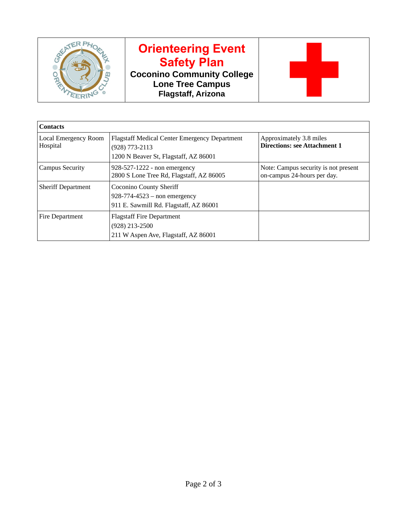

## **Orienteering Event Safety Plan**

**Coconino Community College Lone Tree Campus Flagstaff, Arizona**



| <b>Contacts</b>                         |                                                                                                                     |                                                                     |
|-----------------------------------------|---------------------------------------------------------------------------------------------------------------------|---------------------------------------------------------------------|
| <b>Local Emergency Room</b><br>Hospital | <b>Flagstaff Medical Center Emergency Department</b><br>$(928) 773 - 2113$<br>1200 N Beaver St, Flagstaff, AZ 86001 | Approximately 3.8 miles<br><b>Directions: see Attachment 1</b>      |
| <b>Campus Security</b>                  | 928-527-1222 - non emergency<br>2800 S Lone Tree Rd, Flagstaff, AZ 86005                                            | Note: Campus security is not present<br>on-campus 24-hours per day. |
| <b>Sheriff Department</b>               | <b>Coconino County Sheriff</b><br>$928 - 774 - 4523 -$ non emergency<br>911 E. Sawmill Rd. Flagstaff, AZ 86001      |                                                                     |
| Fire Department                         | <b>Flagstaff Fire Department</b><br>$(928)$ 213-2500<br>211 W Aspen Ave, Flagstaff, AZ 86001                        |                                                                     |